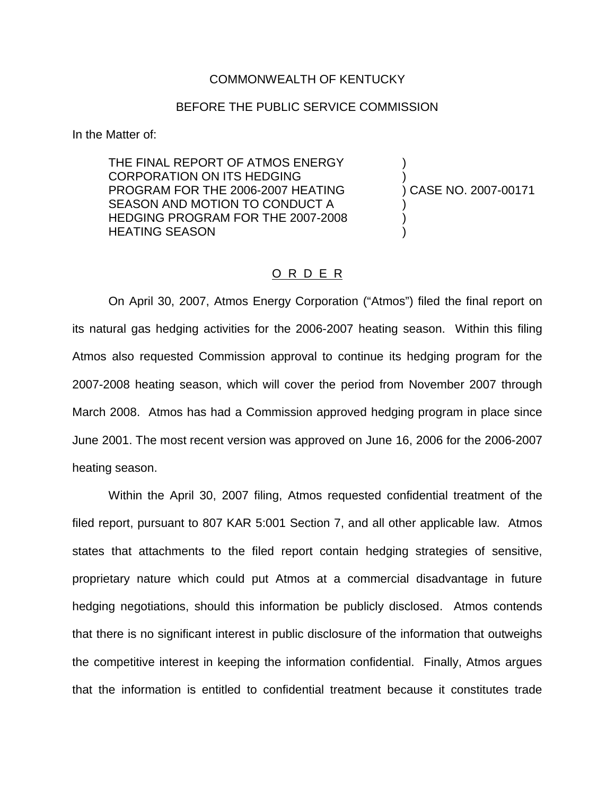## COMMONWEALTH OF KENTUCKY

## BEFORE THE PUBLIC SERVICE COMMISSION

In the Matter of:

THE FINAL REPORT OF ATMOS ENERGY CORPORATION ON ITS HEDGING PROGRAM FOR THE 2006-2007 HEATING SEASON AND MOTION TO CONDUCT A HEDGING PROGRAM FOR THE 2007-2008 HEATING SEASON

) ) ) CASE NO. 2007-00171 ) ) )

## O R D E R

On April 30, 2007, Atmos Energy Corporation ("Atmos") filed the final report on its natural gas hedging activities for the 2006-2007 heating season. Within this filing Atmos also requested Commission approval to continue its hedging program for the 2007-2008 heating season, which will cover the period from November 2007 through March 2008. Atmos has had a Commission approved hedging program in place since June 2001. The most recent version was approved on June 16, 2006 for the 2006-2007 heating season.

Within the April 30, 2007 filing, Atmos requested confidential treatment of the filed report, pursuant to 807 KAR 5:001 Section 7, and all other applicable law. Atmos states that attachments to the filed report contain hedging strategies of sensitive, proprietary nature which could put Atmos at a commercial disadvantage in future hedging negotiations, should this information be publicly disclosed. Atmos contends that there is no significant interest in public disclosure of the information that outweighs the competitive interest in keeping the information confidential. Finally, Atmos argues that the information is entitled to confidential treatment because it constitutes trade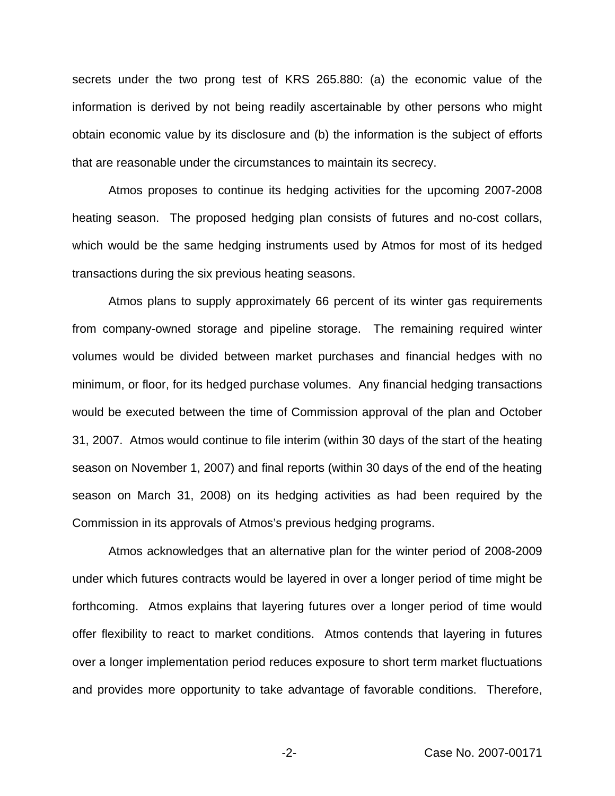secrets under the two prong test of KRS 265.880: (a) the economic value of the information is derived by not being readily ascertainable by other persons who might obtain economic value by its disclosure and (b) the information is the subject of efforts that are reasonable under the circumstances to maintain its secrecy.

Atmos proposes to continue its hedging activities for the upcoming 2007-2008 heating season. The proposed hedging plan consists of futures and no-cost collars, which would be the same hedging instruments used by Atmos for most of its hedged transactions during the six previous heating seasons.

Atmos plans to supply approximately 66 percent of its winter gas requirements from company-owned storage and pipeline storage. The remaining required winter volumes would be divided between market purchases and financial hedges with no minimum, or floor, for its hedged purchase volumes. Any financial hedging transactions would be executed between the time of Commission approval of the plan and October 31, 2007. Atmos would continue to file interim (within 30 days of the start of the heating season on November 1, 2007) and final reports (within 30 days of the end of the heating season on March 31, 2008) on its hedging activities as had been required by the Commission in its approvals of Atmos's previous hedging programs.

Atmos acknowledges that an alternative plan for the winter period of 2008-2009 under which futures contracts would be layered in over a longer period of time might be forthcoming. Atmos explains that layering futures over a longer period of time would offer flexibility to react to market conditions. Atmos contends that layering in futures over a longer implementation period reduces exposure to short term market fluctuations and provides more opportunity to take advantage of favorable conditions. Therefore,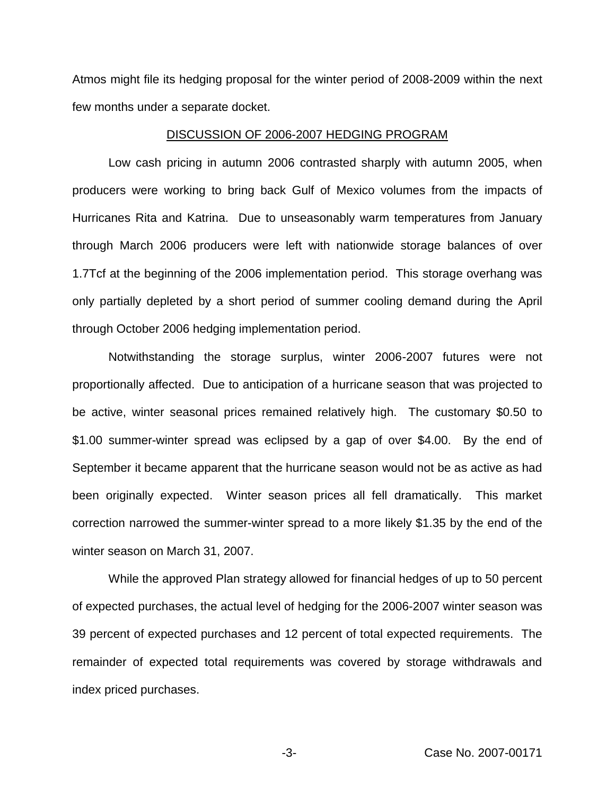Atmos might file its hedging proposal for the winter period of 2008-2009 within the next few months under a separate docket.

## DISCUSSION OF 2006-2007 HEDGING PROGRAM

Low cash pricing in autumn 2006 contrasted sharply with autumn 2005, when producers were working to bring back Gulf of Mexico volumes from the impacts of Hurricanes Rita and Katrina. Due to unseasonably warm temperatures from January through March 2006 producers were left with nationwide storage balances of over 1.7Tcf at the beginning of the 2006 implementation period. This storage overhang was only partially depleted by a short period of summer cooling demand during the April through October 2006 hedging implementation period.

Notwithstanding the storage surplus, winter 2006-2007 futures were not proportionally affected. Due to anticipation of a hurricane season that was projected to be active, winter seasonal prices remained relatively high. The customary \$0.50 to \$1.00 summer-winter spread was eclipsed by a gap of over \$4.00. By the end of September it became apparent that the hurricane season would not be as active as had been originally expected. Winter season prices all fell dramatically. This market correction narrowed the summer-winter spread to a more likely \$1.35 by the end of the winter season on March 31, 2007.

While the approved Plan strategy allowed for financial hedges of up to 50 percent of expected purchases, the actual level of hedging for the 2006-2007 winter season was 39 percent of expected purchases and 12 percent of total expected requirements. The remainder of expected total requirements was covered by storage withdrawals and index priced purchases.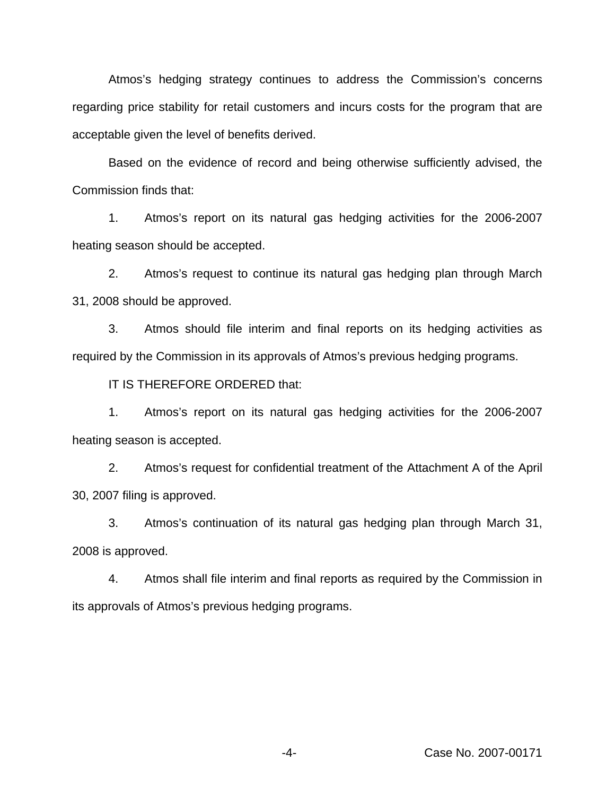Atmos's hedging strategy continues to address the Commission's concerns regarding price stability for retail customers and incurs costs for the program that are acceptable given the level of benefits derived.

Based on the evidence of record and being otherwise sufficiently advised, the Commission finds that:

1. Atmos's report on its natural gas hedging activities for the 2006-2007 heating season should be accepted.

2. Atmos's request to continue its natural gas hedging plan through March 31, 2008 should be approved.

3. Atmos should file interim and final reports on its hedging activities as required by the Commission in its approvals of Atmos's previous hedging programs.

IT IS THEREFORE ORDERED that:

1. Atmos's report on its natural gas hedging activities for the 2006-2007 heating season is accepted.

2. Atmos's request for confidential treatment of the Attachment A of the April 30, 2007 filing is approved.

3. Atmos's continuation of its natural gas hedging plan through March 31, 2008 is approved.

4. Atmos shall file interim and final reports as required by the Commission in its approvals of Atmos's previous hedging programs.

-4- Case No. 2007-00171